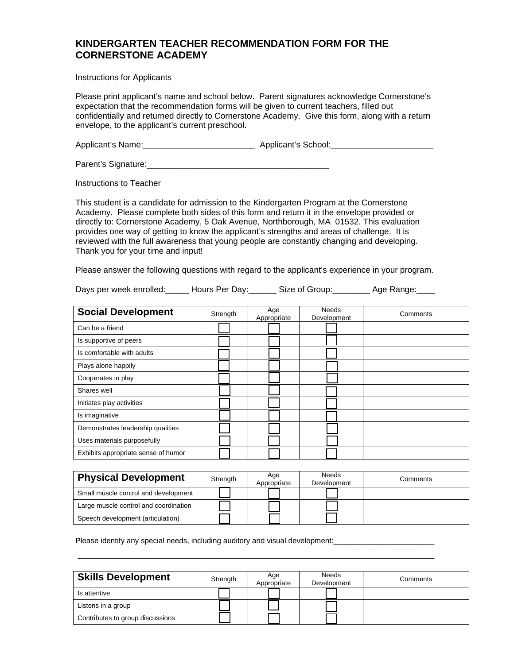## **KINDERGARTEN TEACHER RECOMMENDATION FORM FOR THE CORNERSTONE ACADEMY**

Instructions for Applicants

Please print applicant's name and school below. Parent signatures acknowledge Cornerstone's expectation that the recommendation forms will be given to current teachers, filled out confidentially and returned directly to Cornerstone Academy. Give this form, along with a return envelope, to the applicant's current preschool.

Applicant's Name:\_\_\_\_\_\_\_\_\_\_\_\_\_\_\_\_\_\_\_\_\_\_\_\_ Applicant's School:\_\_\_\_\_\_\_\_\_\_\_\_\_\_\_\_\_\_\_\_\_\_

Parent's Signature:\_\_\_\_\_\_\_\_\_\_\_\_\_\_\_\_\_\_\_\_\_\_\_\_\_\_\_\_\_\_\_\_\_\_\_\_\_\_\_

Instructions to Teacher

This student is a candidate for admission to the Kindergarten Program at the Cornerstone Academy. Please complete both sides of this form and return it in the envelope provided or directly to: Cornerstone Academy, 5 Oak Avenue, Northborough, MA 01532. This evaluation provides one way of getting to know the applicant's strengths and areas of challenge. It is reviewed with the full awareness that young people are constantly changing and developing. Thank you for your time and input!

Please answer the following questions with regard to the applicant's experience in your program.

Days per week enrolled: Let Hours Per Day: Let Size of Group: Let Age Range:

| <b>Social Development</b>           | Strength | Age<br>Appropriate | <b>Needs</b><br>Development | Comments |
|-------------------------------------|----------|--------------------|-----------------------------|----------|
| Can be a friend                     |          |                    |                             |          |
| Is supportive of peers              |          |                    |                             |          |
| Is comfortable with adults          |          |                    |                             |          |
| Plays alone happily                 |          |                    |                             |          |
| Cooperates in play                  |          |                    |                             |          |
| Shares well                         |          |                    |                             |          |
| Initiates play activities           |          |                    |                             |          |
| Is imaginative                      |          |                    |                             |          |
| Demonstrates leadership qualities   |          |                    |                             |          |
| Uses materials purposefully         |          |                    |                             |          |
| Exhibits appropriate sense of humor |          |                    |                             |          |

| <b>Physical Development</b>           | Strength | Age<br>Appropriate | Needs<br>Development | Comments |
|---------------------------------------|----------|--------------------|----------------------|----------|
| Small muscle control and development  |          |                    |                      |          |
| Large muscle control and coordination |          |                    |                      |          |
| Speech development (articulation)     |          |                    |                      |          |

Please identify any special needs, including auditory and visual development:

| <b>Skills Development</b>        | Strength | Age<br>Appropriate | <b>Needs</b><br>Development | Comments |
|----------------------------------|----------|--------------------|-----------------------------|----------|
| Is attentive                     |          |                    |                             |          |
| Listens in a group               |          |                    |                             |          |
| Contributes to group discussions |          |                    |                             |          |